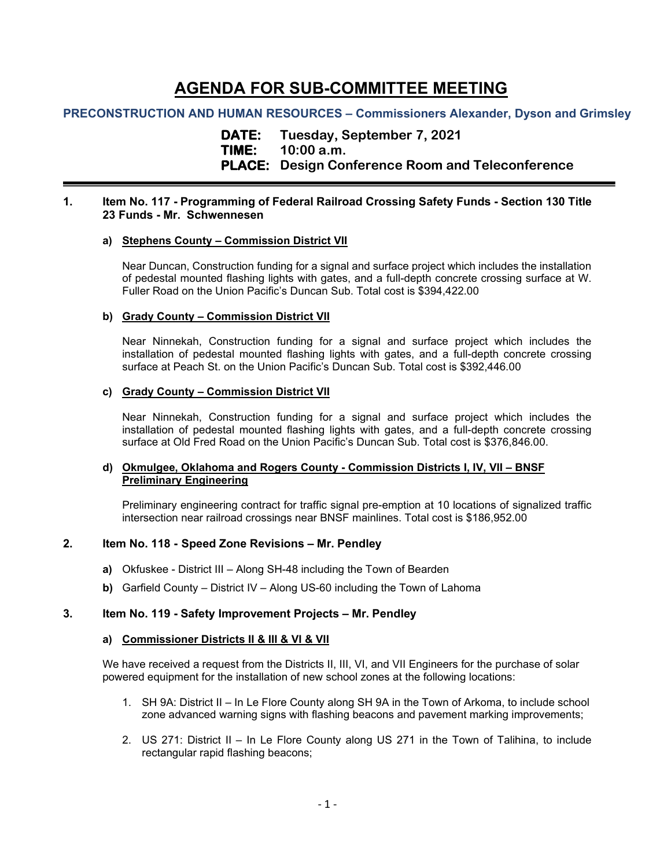# **AGENDA FOR SUB-COMMITTEE MEETING**

# **PRECONSTRUCTION AND HUMAN RESOURCES – Commissioners Alexander, Dyson and Grimsley**

**DATE: Tuesday, September 7, 2021 TIME: 10:00 a.m. PLACE: Design Conference Room and Teleconference**

## **1. Item No. 117 - Programming of Federal Railroad Crossing Safety Funds - Section 130 Title 23 Funds - Mr. Schwennesen**

## **a) Stephens County – Commission District VII**

Near Duncan, Construction funding for a signal and surface project which includes the installation of pedestal mounted flashing lights with gates, and a full-depth concrete crossing surface at W. Fuller Road on the Union Pacific's Duncan Sub. Total cost is \$394,422.00

# **b) Grady County – Commission District VII**

Near Ninnekah, Construction funding for a signal and surface project which includes the installation of pedestal mounted flashing lights with gates, and a full-depth concrete crossing surface at Peach St. on the Union Pacific's Duncan Sub. Total cost is \$392,446.00

## **c) Grady County – Commission District VII**

Near Ninnekah, Construction funding for a signal and surface project which includes the installation of pedestal mounted flashing lights with gates, and a full-depth concrete crossing surface at Old Fred Road on the Union Pacific's Duncan Sub. Total cost is \$376,846.00.

## **d) Okmulgee, Oklahoma and Rogers County - Commission Districts I, IV, VII – BNSF Preliminary Engineering**

Preliminary engineering contract for traffic signal pre-emption at 10 locations of signalized traffic intersection near railroad crossings near BNSF mainlines. Total cost is \$186,952.00

# **2. Item No. 118 - Speed Zone Revisions – Mr. Pendley**

- **a)** Okfuskee District III Along SH-48 including the Town of Bearden
- **b)** Garfield County District IV Along US-60 including the Town of Lahoma

## **3. Item No. 119 - Safety Improvement Projects – Mr. Pendley**

## **a) Commissioner Districts II & III & VI & VII**

We have received a request from the Districts II, III, VI, and VII Engineers for the purchase of solar powered equipment for the installation of new school zones at the following locations:

- 1. SH 9A: District II In Le Flore County along SH 9A in the Town of Arkoma, to include school zone advanced warning signs with flashing beacons and pavement marking improvements;
- 2. US 271: District II In Le Flore County along US 271 in the Town of Talihina, to include rectangular rapid flashing beacons;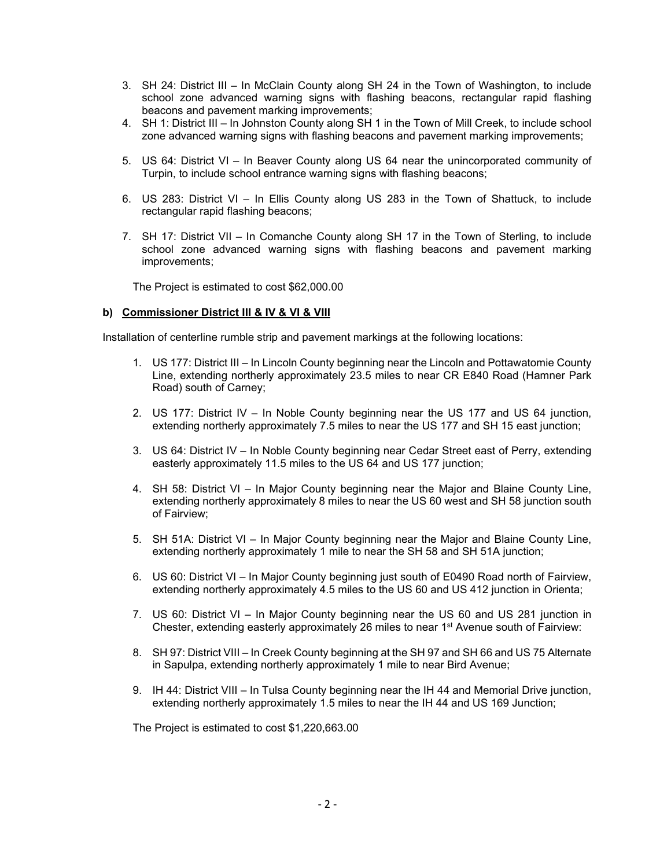- 3. SH 24: District III In McClain County along SH 24 in the Town of Washington, to include school zone advanced warning signs with flashing beacons, rectangular rapid flashing beacons and pavement marking improvements;
- 4. SH 1: District III In Johnston County along SH 1 in the Town of Mill Creek, to include school zone advanced warning signs with flashing beacons and pavement marking improvements;
- 5. US 64: District VI In Beaver County along US 64 near the unincorporated community of Turpin, to include school entrance warning signs with flashing beacons;
- 6. US 283: District VI In Ellis County along US 283 in the Town of Shattuck, to include rectangular rapid flashing beacons;
- 7. SH 17: District VII In Comanche County along SH 17 in the Town of Sterling, to include school zone advanced warning signs with flashing beacons and pavement marking improvements;

The Project is estimated to cost \$62,000.00

#### **b) Commissioner District III & IV & VI & VIII**

Installation of centerline rumble strip and pavement markings at the following locations:

- 1. US 177: District III In Lincoln County beginning near the Lincoln and Pottawatomie County Line, extending northerly approximately 23.5 miles to near CR E840 Road (Hamner Park Road) south of Carney;
- 2. US 177: District IV In Noble County beginning near the US 177 and US 64 junction, extending northerly approximately 7.5 miles to near the US 177 and SH 15 east junction;
- 3. US 64: District IV In Noble County beginning near Cedar Street east of Perry, extending easterly approximately 11.5 miles to the US 64 and US 177 junction;
- 4. SH 58: District VI In Major County beginning near the Major and Blaine County Line, extending northerly approximately 8 miles to near the US 60 west and SH 58 junction south of Fairview;
- 5. SH 51A: District VI In Major County beginning near the Major and Blaine County Line, extending northerly approximately 1 mile to near the SH 58 and SH 51A junction;
- 6. US 60: District VI In Major County beginning just south of E0490 Road north of Fairview, extending northerly approximately 4.5 miles to the US 60 and US 412 junction in Orienta;
- 7. US 60: District VI In Major County beginning near the US 60 and US 281 junction in Chester, extending easterly approximately 26 miles to near 1<sup>st</sup> Avenue south of Fairview:
- 8. SH 97: District VIII In Creek County beginning at the SH 97 and SH 66 and US 75 Alternate in Sapulpa, extending northerly approximately 1 mile to near Bird Avenue;
- 9. IH 44: District VIII In Tulsa County beginning near the IH 44 and Memorial Drive junction, extending northerly approximately 1.5 miles to near the IH 44 and US 169 Junction;

The Project is estimated to cost \$1,220,663.00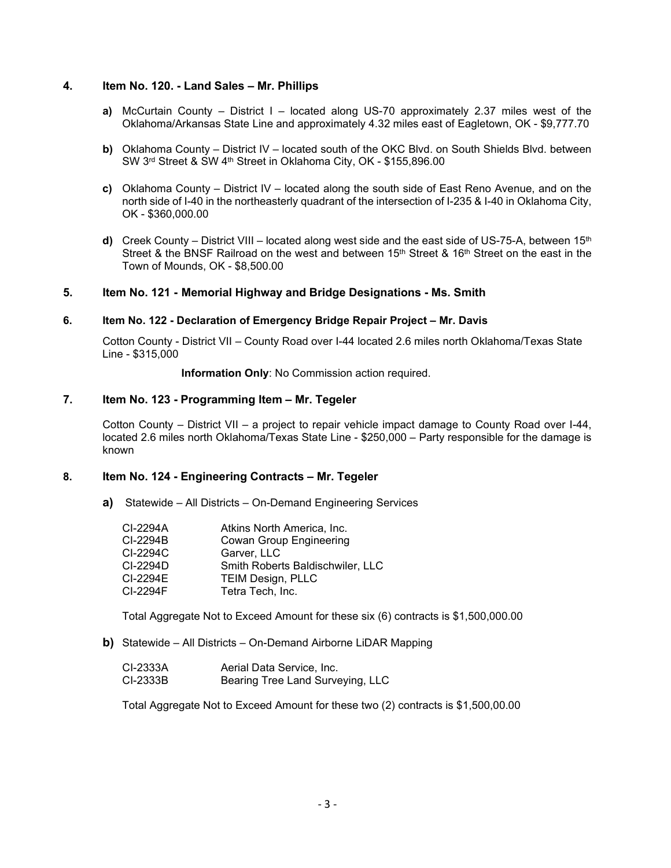#### **4. Item No. 120. - Land Sales – Mr. Phillips**

- **a)** McCurtain County District I located along US-70 approximately 2.37 miles west of the Oklahoma/Arkansas State Line and approximately 4.32 miles east of Eagletown, OK - \$9,777.70
- **b)** Oklahoma County District IV located south of the OKC Blvd. on South Shields Blvd. between SW 3rd Street & SW 4th Street in Oklahoma City, OK - \$155,896.00
- **c)** Oklahoma County District IV located along the south side of East Reno Avenue, and on the north side of I-40 in the northeasterly quadrant of the intersection of I-235 & I-40 in Oklahoma City, OK - \$360,000.00
- **d)** Creek County District VIII located along west side and the east side of US-75-A, between 15<sup>th</sup> Street & the BNSF Railroad on the west and between  $15<sup>th</sup>$  Street &  $16<sup>th</sup>$  Street on the east in the Town of Mounds, OK - \$8,500.00

#### **5. Item No. 121 - Memorial Highway and Bridge Designations - Ms. Smith**

#### **6. Item No. 122 - Declaration of Emergency Bridge Repair Project – Mr. Davis**

Cotton County - District VII – County Road over I-44 located 2.6 miles north Oklahoma/Texas State Line - \$315,000

**Information Only**: No Commission action required.

# **7. Item No. 123 - Programming Item – Mr. Tegeler**

Cotton County – District VII – a project to repair vehicle impact damage to County Road over I-44, located 2.6 miles north Oklahoma/Texas State Line - \$250,000 – Party responsible for the damage is known

## **8. Item No. 124 - Engineering Contracts – Mr. Tegeler**

**a)** Statewide – All Districts – On-Demand Engineering Services

| CI-2294A   | Atkins North America, Inc.              |
|------------|-----------------------------------------|
| CI-2294B   | <b>Cowan Group Engineering</b>          |
| CI-2294C   | Garver, LLC                             |
| $CI-2294D$ | <b>Smith Roberts Baldischwiler, LLC</b> |
| CI-2294E   | <b>TEIM Design, PLLC</b>                |
| CI-2294F   | Tetra Tech, Inc.                        |

Total Aggregate Not to Exceed Amount for these six (6) contracts is \$1,500,000.00

**b)** Statewide – All Districts – On-Demand Airborne LiDAR Mapping

| CI-2333A | Aerial Data Service, Inc.        |
|----------|----------------------------------|
| CI-2333B | Bearing Tree Land Surveying, LLC |

Total Aggregate Not to Exceed Amount for these two (2) contracts is \$1,500,00.00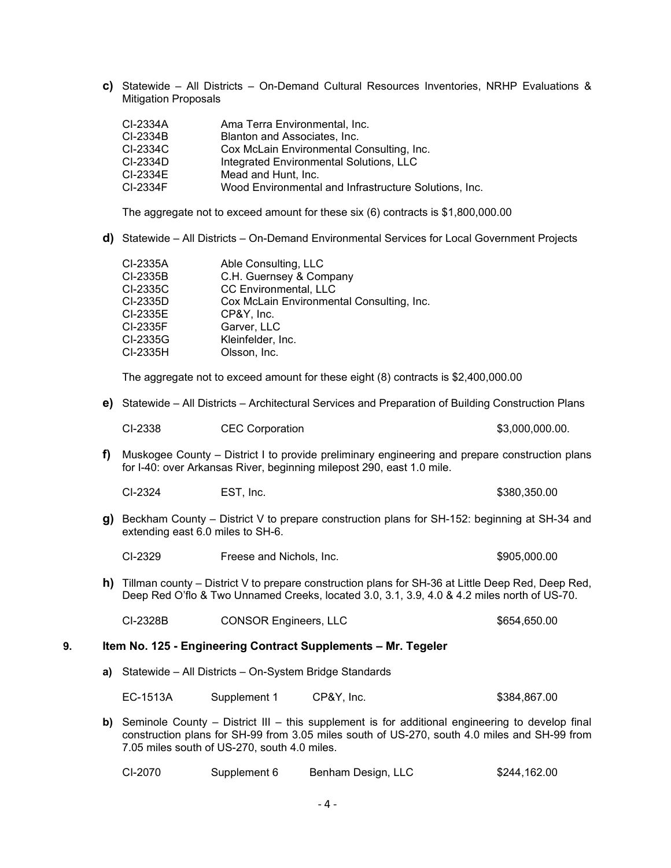**c)** Statewide – All Districts – On-Demand Cultural Resources Inventories, NRHP Evaluations & Mitigation Proposals

| CI-2334A | Ama Terra Environmental, Inc.                         |
|----------|-------------------------------------------------------|
| CI-2334B | Blanton and Associates, Inc.                          |
| CI-2334C | Cox McLain Environmental Consulting, Inc.             |
| CI-2334D | Integrated Environmental Solutions, LLC               |
| CI-2334E | Mead and Hunt. Inc.                                   |
| CI-2334F | Wood Environmental and Infrastructure Solutions, Inc. |

The aggregate not to exceed amount for these six (6) contracts is \$1,800,000.00

**d)** Statewide – All Districts – On-Demand Environmental Services for Local Government Projects

| CI-2335A | Able Consulting, LLC                      |
|----------|-------------------------------------------|
| CI-2335B | C.H. Guernsey & Company                   |
| CI-2335C | <b>CC Environmental, LLC</b>              |
| CI-2335D | Cox McLain Environmental Consulting, Inc. |
| CI-2335E | CP&Y, Inc.                                |
| CI-2335F | Garver, LLC                               |
| CI-2335G | Kleinfelder, Inc.                         |
| CI-2335H | Olsson, Inc.                              |
|          |                                           |

The aggregate not to exceed amount for these eight (8) contracts is \$2,400,000.00

**e)** Statewide – All Districts – Architectural Services and Preparation of Building Construction Plans

| CI-2338 | <b>CEC Corporation</b> | \$3,000,000.00. |
|---------|------------------------|-----------------|
|---------|------------------------|-----------------|

**f)** Muskogee County – District I to provide preliminary engineering and prepare construction plans for I-40: over Arkansas River, beginning milepost 290, east 1.0 mile.

CI-2324 EST, Inc. 6380,350.00

**g)** Beckham County – District V to prepare construction plans for SH-152: beginning at SH-34 and extending east 6.0 miles to SH-6.

CI-2329 Freese and Nichols, Inc. \$905,000.00

**h)** Tillman county – District V to prepare construction plans for SH-36 at Little Deep Red, Deep Red, Deep Red O'flo & Two Unnamed Creeks, located 3.0, 3.1, 3.9, 4.0 & 4.2 miles north of US-70.

CI-2328B CONSOR Engineers, LLC \$654,650.00

#### **9. Item No. 125 - Engineering Contract Supplements – Mr. Tegeler**

**a)** Statewide – All Districts – On-System Bridge Standards

EC-1513A Supplement 1 CP&Y, Inc. \$384,867.00

**b)** Seminole County – District III – this supplement is for additional engineering to develop final construction plans for SH-99 from 3.05 miles south of US-270, south 4.0 miles and SH-99 from 7.05 miles south of US-270, south 4.0 miles.

| CI-2070 | Supplement 6 | Benham Design, LLC | \$244,162.00 |
|---------|--------------|--------------------|--------------|
|---------|--------------|--------------------|--------------|